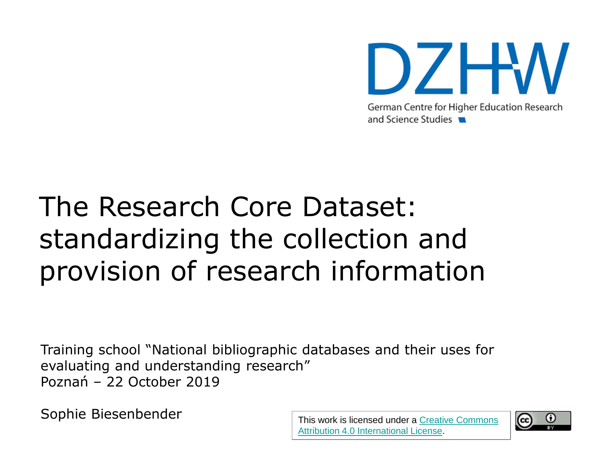

# The Research Core Dataset: standardizing the collection and provision of research information

Training school "National bibliographic databases and their uses for evaluating and understanding research" Poznań – 22 October 2019

Sophie Biesenbender This work is licensed under a Creative Commons

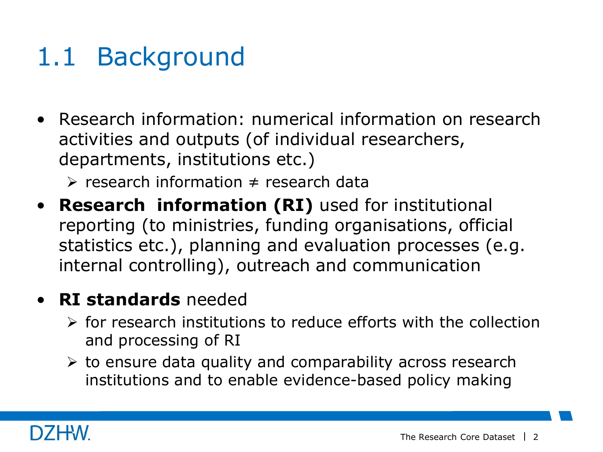## 1.1 Background

- Research information: numerical information on research activities and outputs (of individual researchers, departments, institutions etc.)
	- $\triangleright$  research information ≠ research data
- **Research information (RI)** used for institutional reporting (to ministries, funding organisations, official statistics etc.), planning and evaluation processes (e.g. internal controlling), outreach and communication

#### • **RI standards** needed

- $\triangleright$  for research institutions to reduce efforts with the collection and processing of RI
- $\triangleright$  to ensure data quality and comparability across research institutions and to enable evidence-based policy making

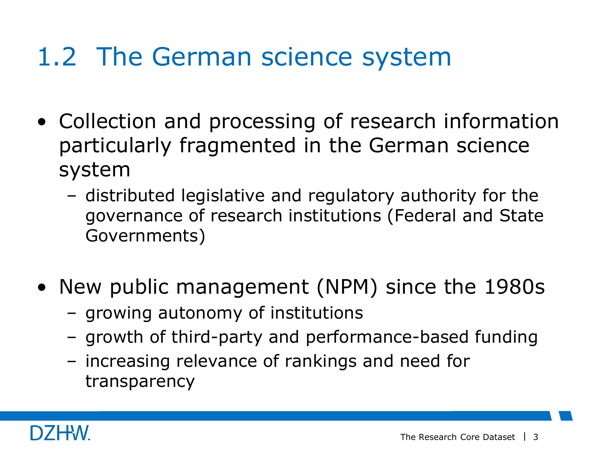## 1.2 The German science system

- Collection and processing of research information particularly fragmented in the German science system
	- distributed legislative and regulatory authority for the governance of research institutions (Federal and State Governments)
- New public management (NPM) since the 1980s
	- growing autonomy of institutions
	- growth of third-party and performance-based funding
	- increasing relevance of rankings and need for transparency

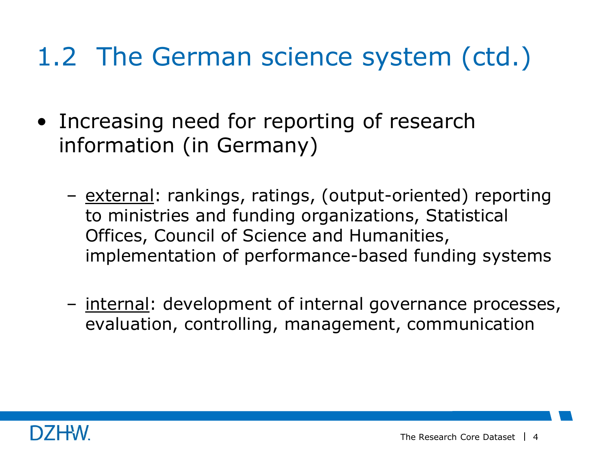# 1.2 The German science system (ctd.)

- Increasing need for reporting of research information (in Germany)
	- external: rankings, ratings, (output-oriented) reporting to ministries and funding organizations, Statistical Offices, Council of Science and Humanities, implementation of performance-based funding systems
	- internal: development of internal governance processes, evaluation, controlling, management, communication

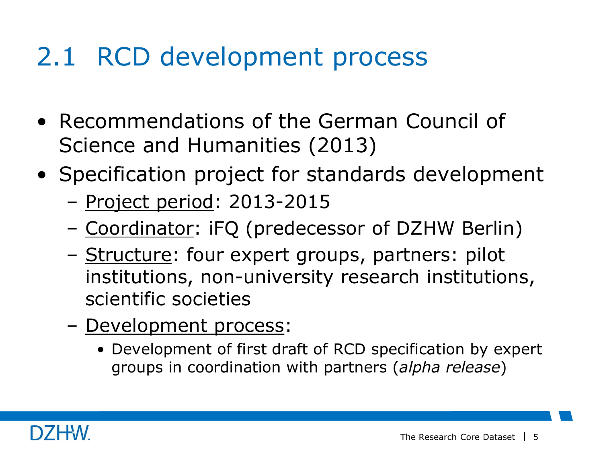## 2.1 RCD development process

- Recommendations of the German Council of Science and Humanities (2013)
- Specification project for standards development
	- Project period: 2013-2015
	- Coordinator: iFQ (predecessor of DZHW Berlin)
	- Structure: four expert groups, partners: pilot institutions, non-university research institutions, scientific societies
	- Development process:
		- Development of first draft of RCD specification by expert groups in coordination with partners (*alpha release*)

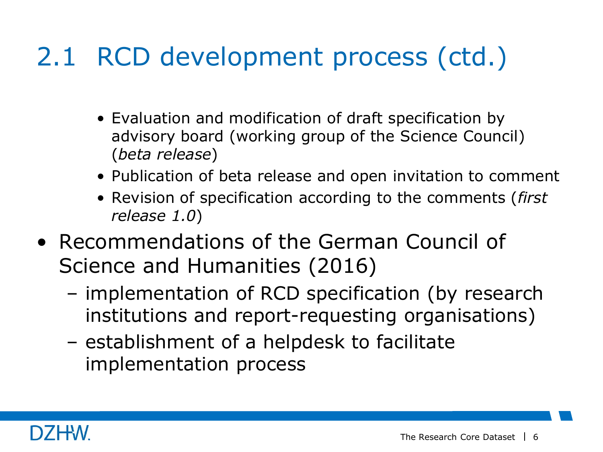# 2.1 RCD development process (ctd.)

- Evaluation and modification of draft specification by advisory board (working group of the Science Council) (*beta release*)
- Publication of beta release and open invitation to comment
- Revision of specification according to the comments (*first release 1.0*)
- Recommendations of the German Council of Science and Humanities (2016)
	- implementation of RCD specification (by research institutions and report-requesting organisations)
	- establishment of a helpdesk to facilitate implementation process

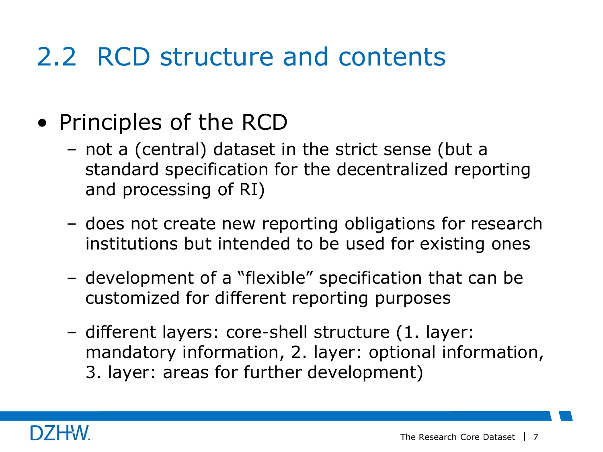### 2.2 RCD structure and contents

- Principles of the RCD
	- not a (central) dataset in the strict sense (but a standard specification for the decentralized reporting and processing of RI)
	- does not create new reporting obligations for research institutions but intended to be used for existing ones
	- development of a "flexible" specification that can be customized for different reporting purposes
	- different layers: core-shell structure (1. layer: mandatory information, 2. layer: optional information, 3. layer: areas for further development)

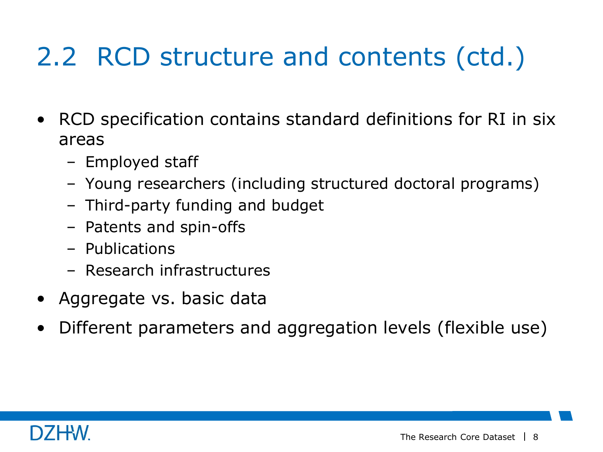- RCD specification contains standard definitions for RI in six areas
	- Employed staff
	- Young researchers (including structured doctoral programs)
	- Third-party funding and budget
	- Patents and spin-offs
	- Publications
	- Research infrastructures
- Aggregate vs. basic data
- Different parameters and aggregation levels (flexible use)

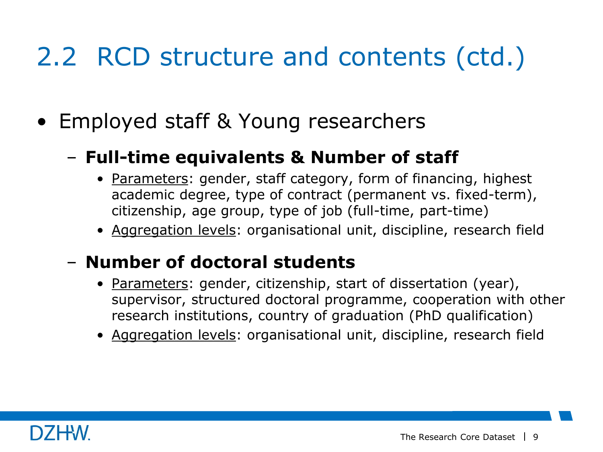• Employed staff & Young researchers

### – **Full-time equivalents & Number of staff**

- Parameters: gender, staff category, form of financing, highest academic degree, type of contract (permanent vs. fixed-term), citizenship, age group, type of job (full-time, part-time)
- Aggregation levels: organisational unit, discipline, research field

#### – **Number of doctoral students**

- Parameters: gender, citizenship, start of dissertation (year), supervisor, structured doctoral programme, cooperation with other research institutions, country of graduation (PhD qualification)
- Aggregation levels: organisational unit, discipline, research field

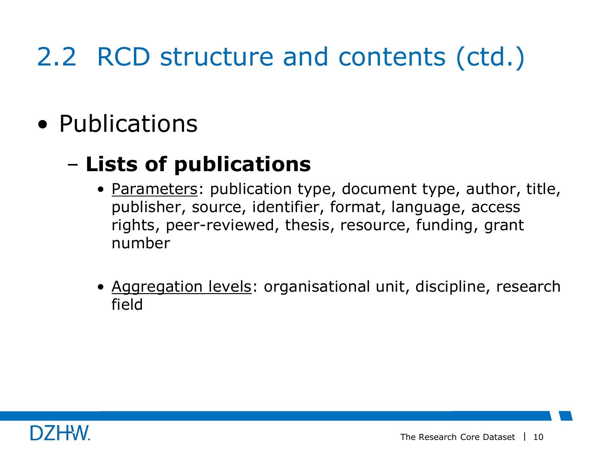• Publications

### – **Lists of publications**

- Parameters: publication type, document type, author, title, publisher, source, identifier, format, language, access rights, peer-reviewed, thesis, resource, funding, grant number
- Aggregation levels: organisational unit, discipline, research field

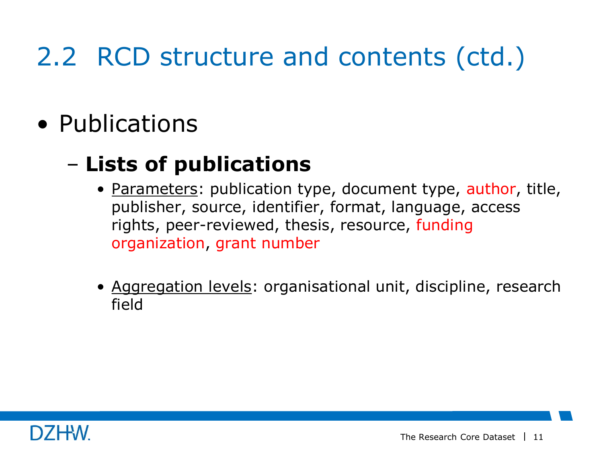• Publications

### – **Lists of publications**

- Parameters: publication type, document type, author, title, publisher, source, identifier, format, language, access rights, peer-reviewed, thesis, resource, funding organization, grant number
- Aggregation levels: organisational unit, discipline, research field

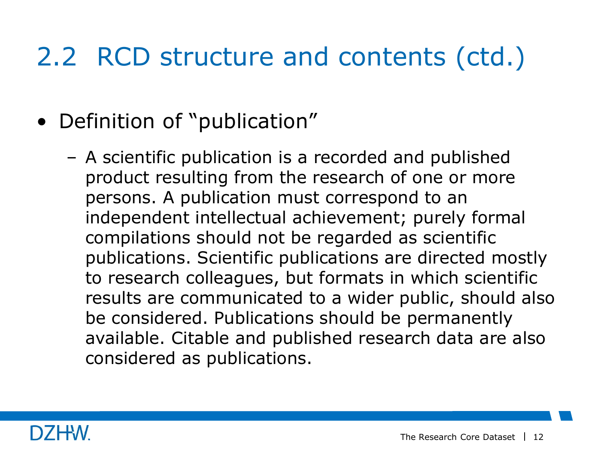- Definition of "publication"
	- A scientific publication is a recorded and published product resulting from the research of one or more persons. A publication must correspond to an independent intellectual achievement; purely formal compilations should not be regarded as scientific publications. Scientific publications are directed mostly to research colleagues, but formats in which scientific results are communicated to a wider public, should also be considered. Publications should be permanently available. Citable and published research data are also considered as publications.

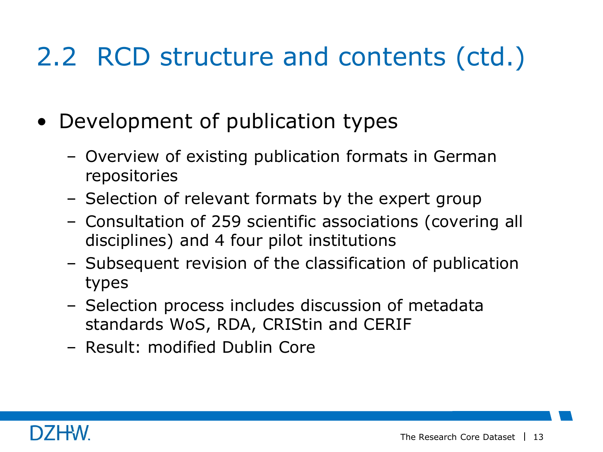- Development of publication types
	- Overview of existing publication formats in German repositories
	- Selection of relevant formats by the expert group
	- Consultation of 259 scientific associations (covering all disciplines) and 4 four pilot institutions
	- Subsequent revision of the classification of publication types
	- Selection process includes discussion of metadata standards WoS, RDA, CRIStin and CERIF
	- Result: modified Dublin Core

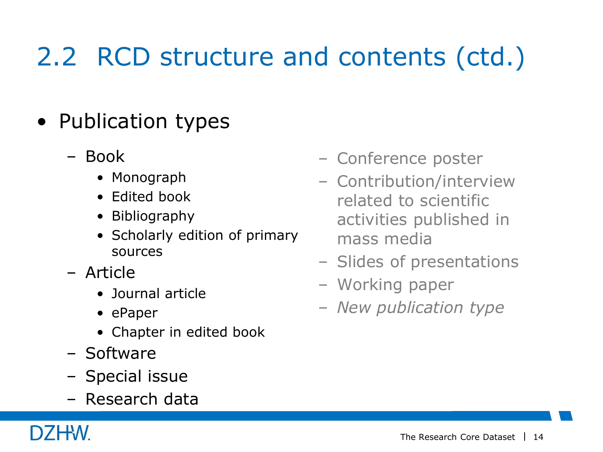- Publication types
	- Book
		- Monograph
		- Edited book
		- Bibliography
		- Scholarly edition of primary sources
	- Article
		- Journal article
		- ePaper
		- Chapter in edited book
	- Software
	- Special issue
	- Research data
- Conference poster
- Contribution/interview related to scientific activities published in mass media
- Slides of presentations
- Working paper
- *New publication type*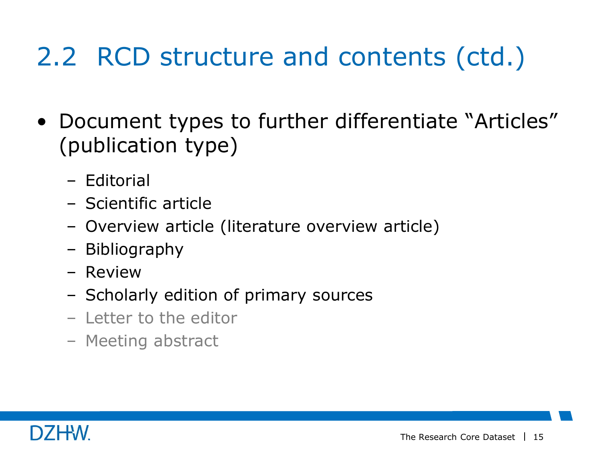- Document types to further differentiate "Articles" (publication type)
	- Editorial
	- Scientific article
	- Overview article (literature overview article)
	- Bibliography
	- Review
	- Scholarly edition of primary sources
	- Letter to the editor
	- Meeting abstract

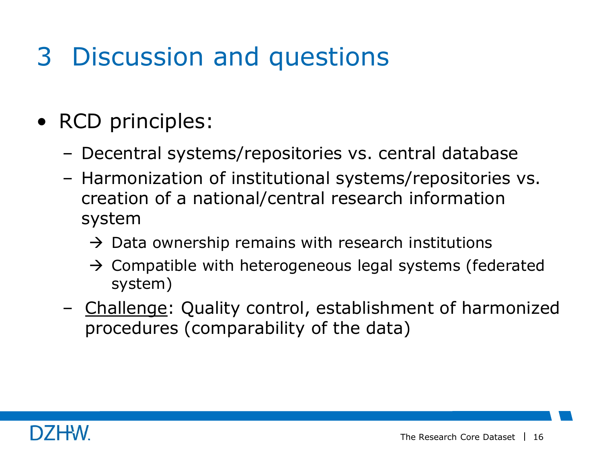- RCD principles:
	- Decentral systems/repositories vs. central database
	- Harmonization of institutional systems/repositories vs. creation of a national/central research information system
		- $\rightarrow$  Data ownership remains with research institutions
		- $\rightarrow$  Compatible with heterogeneous legal systems (federated system)
	- Challenge: Quality control, establishment of harmonized procedures (comparability of the data)

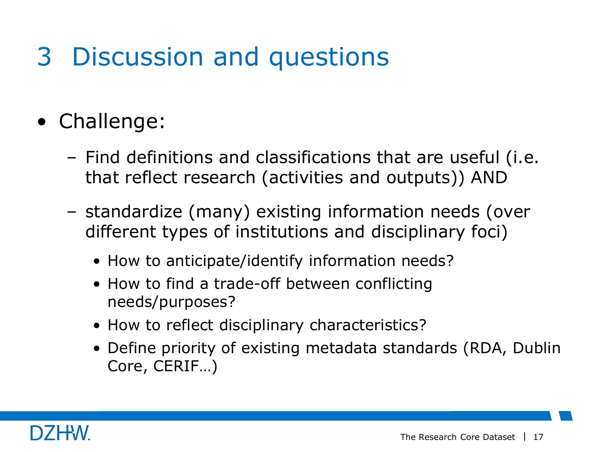- Challenge:
	- Find definitions and classifications that are useful (i.e. that reflect research (activities and outputs)) AND
	- standardize (many) existing information needs (over different types of institutions and disciplinary foci)
		- How to anticipate/identify information needs?
		- How to find a trade-off between conflicting needs/purposes?
		- How to reflect disciplinary characteristics?
		- Define priority of existing metadata standards (RDA, Dublin Core, CERIF…)

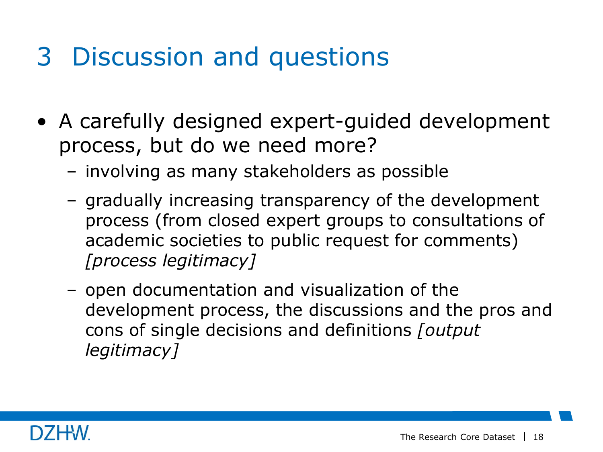- A carefully designed expert-guided development process, but do we need more?
	- involving as many stakeholders as possible
	- gradually increasing transparency of the development process (from closed expert groups to consultations of academic societies to public request for comments) *[process legitimacy]*
	- open documentation and visualization of the development process, the discussions and the pros and cons of single decisions and definitions *[output legitimacy]*

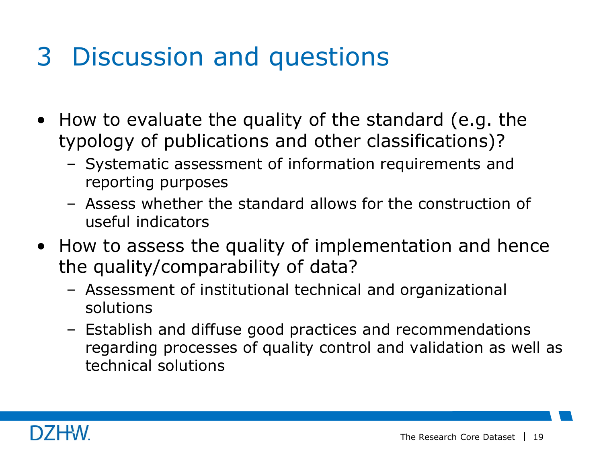- How to evaluate the quality of the standard (e.g. the typology of publications and other classifications)?
	- Systematic assessment of information requirements and reporting purposes
	- Assess whether the standard allows for the construction of useful indicators
- How to assess the quality of implementation and hence the quality/comparability of data?
	- Assessment of institutional technical and organizational solutions
	- Establish and diffuse good practices and recommendations regarding processes of quality control and validation as well as technical solutions